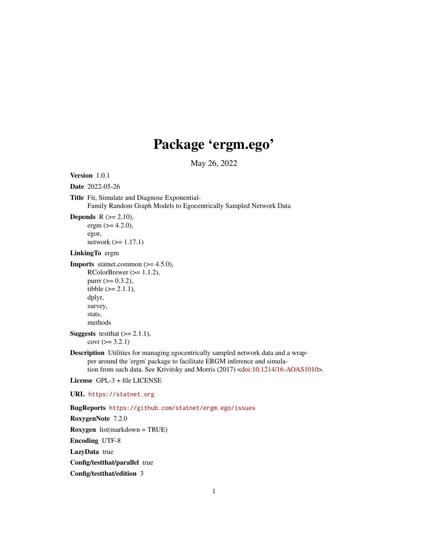# Package 'ergm.ego'

May 26, 2022

```
Version 1.0.1
```
Date 2022-05-26

Title Fit, Simulate and Diagnose Exponential-

Family Random Graph Models to Egocentrically Sampled Network Data

**Depends**  $R$  ( $>= 2.10$ ), ergm  $(>= 4.2.0)$ , egor, network (>= 1.17.1)

# LinkingTo ergm

```
Imports statnet.common (>= 4.5.0),
```

```
RColorBrewer (> = 1.1.2),purr (= 0.3.2),tibble (>= 2.1.1),
dplyr,
survey,
stats,
methods
```
**Suggests** test that  $(>= 2.1.1)$ ,  $covr$  ( $>= 3.2.1$ )

```
Description Utilities for managing egocentrically sampled network data and a wrap-
    per around the 'ergm' package to facilitate ERGM inference and simula-
    <doi:10.1214/16-AOAS1010>.
```
License GPL-3 + file LICENSE

# URL <https://statnet.org>

BugReports <https://github.com/statnet/ergm.ego/issues>

RoxygenNote 7.2.0 Roxygen list(markdown = TRUE) Encoding UTF-8 LazyData true Config/testthat/parallel true Config/testthat/edition 3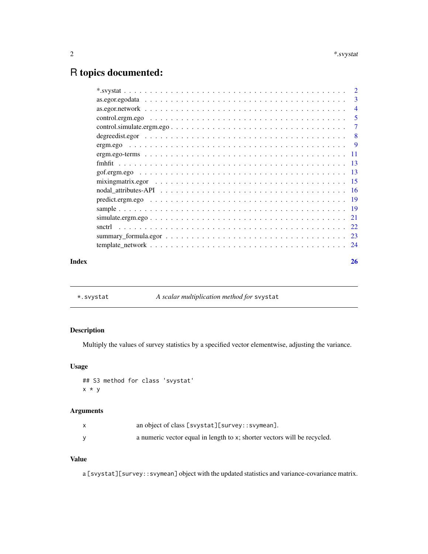# <span id="page-1-0"></span>R topics documented:

|       |                             | $\overline{4}$             |
|-------|-----------------------------|----------------------------|
|       |                             | $\overline{\phantom{0}}$ 5 |
|       | $control.simulate.crgm.cg0$ | -7                         |
|       |                             |                            |
|       |                             |                            |
|       |                             |                            |
|       |                             |                            |
|       |                             |                            |
|       |                             |                            |
|       |                             |                            |
|       |                             |                            |
|       |                             |                            |
|       |                             |                            |
|       |                             |                            |
|       |                             |                            |
|       |                             |                            |
| Index |                             | 26                         |

<span id="page-1-1"></span>\*.svystat *A scalar multiplication method for* svystat

# Description

Multiply the values of survey statistics by a specified vector elementwise, adjusting the variance.

# Usage

```
## S3 method for class 'svystat'
x * y
```
# Arguments

| an object of class [svystat][survey::svymean].                           |
|--------------------------------------------------------------------------|
| a numeric vector equal in length to x; shorter vectors will be recycled. |

# Value

a [svystat][survey::svymean] object with the updated statistics and variance-covariance matrix.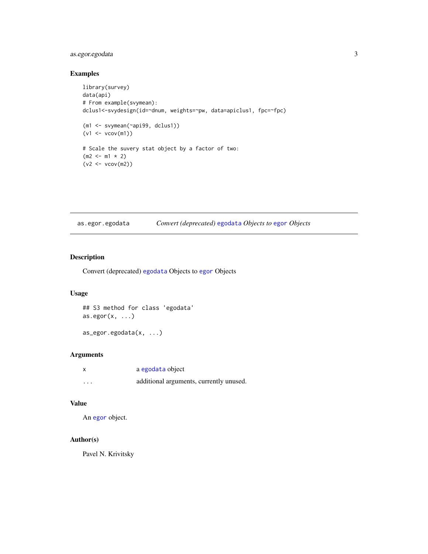# <span id="page-2-0"></span>as.egor.egodata 3

# Examples

```
library(survey)
data(api)
# From example(svymean):
dclus1<-svydesign(id=~dnum, weights=~pw, data=apiclus1, fpc=~fpc)
(m1 <- svymean(~api99, dclus1))
(v1 <- vcov(m1))
# Scale the suvery stat object by a factor of two:
(m2 < - m1 * 2)(v2 < -vcov(m2))
```
as.egor.egodata *Convert (deprecated)* [egodata](#page-2-1) *Objects to* [egor](#page-0-0) *Objects*

# <span id="page-2-1"></span>Description

Convert (deprecated) [egodata](#page-2-1) Objects to [egor](#page-0-0) Objects

#### Usage

## S3 method for class 'egodata'  $as.egor(x, \ldots)$ 

as\_egor.egodata(x, ...)

#### Arguments

| X        | a egodata object                        |
|----------|-----------------------------------------|
| $\cdots$ | additional arguments, currently unused. |

#### Value

An [egor](#page-0-0) object.

# Author(s)

Pavel N. Krivitsky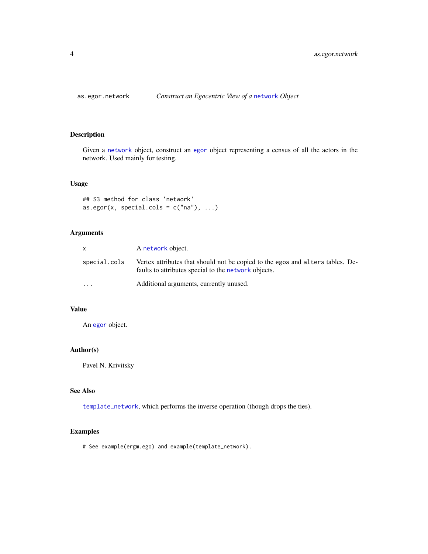<span id="page-3-1"></span><span id="page-3-0"></span>

# Description

Given a [network](#page-0-0) object, construct an [egor](#page-0-0) object representing a census of all the actors in the network. Used mainly for testing.

# Usage

## S3 method for class 'network' as.egor(x, special.cols =  $c("na"), ...$ )

# Arguments

|              | A network object.                                                                                                                      |
|--------------|----------------------------------------------------------------------------------------------------------------------------------------|
| special.cols | Vertex attributes that should not be copied to the egos and alters tables. De-<br>faults to attributes special to the network objects. |
| $\ddotsc$    | Additional arguments, currently unused.                                                                                                |

# Value

An [egor](#page-0-0) object.

# Author(s)

Pavel N. Krivitsky

# See Also

[template\\_network](#page-23-1), which performs the inverse operation (though drops the ties).

# Examples

# See example(ergm.ego) and example(template\_network).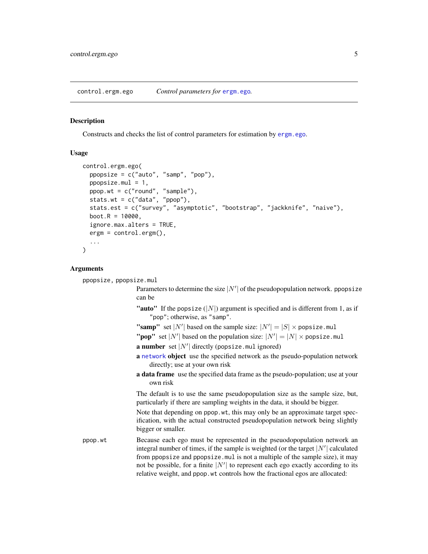#### <span id="page-4-1"></span><span id="page-4-0"></span>Description

Constructs and checks the list of control parameters for estimation by [ergm.ego](#page-8-1).

### Usage

```
control.ergm.ego(
  ppopsize = c("auto", "samp", "pop"),
 ppopsize.mul = 1,
 ppop.wt = c("round", "sample"),
  stats.wt = c("data", "ppop"),
  stats.est = c("survey", "asymptotic", "bootstrap", "jackknife", "naive"),
  boot.R = 10000,ignore.max.alters = TRUE,
  ergm = control.ergm(),
  ...
)
```
#### Arguments

```
ppopsize, ppopsize.mul
                   Parameters to determine the size |N'| of the pseudopopulation network. ppopsize
                  can be
                   "auto" If the popsize (|N|) argument is specified and is different from 1, as if
                       "pop"; otherwise, as "samp".
                   "samp" set |N'| based on the sample size: |N'| = |S| \times \text{popsize.mul}"pop" set |N'| based on the population size: |N'| = |N| \times \text{positive.mul}a number set |N'| directly (popsize.mul ignored)
                   a network object use the specified network as the pseudo-population network
                       directly; use at your own risk
                  a data frame use the specified data frame as the pseudo-population; use at your
                       own risk
                  The default is to use the same pseudopopulation size as the sample size, but,
                   particularly if there are sampling weights in the data, it should be bigger.
                   Note that depending on ppop.wt, this may only be an approximate target spec-
                  ification, with the actual constructed pseudopopulation network being slightly
                  bigger or smaller.
ppop.wt Because each ego must be represented in the pseuodopopulation network an
                   integral number of times, if the sample is weighted (or the target |N'| calculated
                   from ppopsize and ppopsize.mul is not a multiple of the sample size), it may
                   not be possible, for a finite |N'| to represent each ego exactly according to its
                  relative weight, and ppop.wt controls how the fractional egos are allocated:
```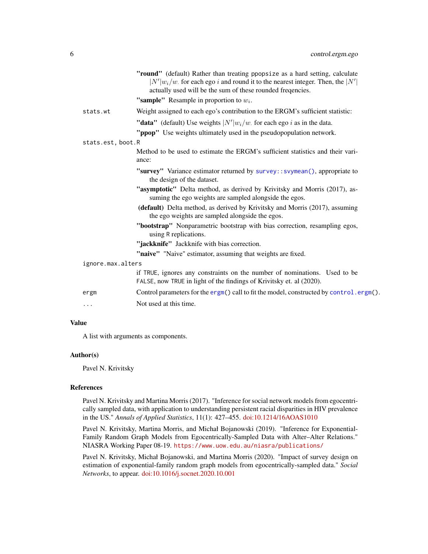<span id="page-5-0"></span>

|                   | "round" (default) Rather than treating ppopsize as a hard setting, calculate<br>$ N' w_i/w$ . for each ego i and round it to the nearest integer. Then, the $ N' $<br>actually used will be the sum of these rounded frequencies. |
|-------------------|-----------------------------------------------------------------------------------------------------------------------------------------------------------------------------------------------------------------------------------|
|                   | "sample" Resample in proportion to $w_i$ .                                                                                                                                                                                        |
| stats.wt          | Weight assigned to each ego's contribution to the ERGM's sufficient statistic:                                                                                                                                                    |
|                   | "data" (default) Use weights $ N' w_i/w$ for each ego i as in the data.                                                                                                                                                           |
|                   | "ppop" Use weights ultimately used in the pseudopopulation network.                                                                                                                                                               |
| stats.est, boot.R |                                                                                                                                                                                                                                   |
|                   | Method to be used to estimate the ERGM's sufficient statistics and their vari-<br>ance:                                                                                                                                           |
|                   | "survey" Variance estimator returned by survey:: svymean(), appropriate to<br>the design of the dataset.                                                                                                                          |
|                   | "asymptotic" Delta method, as derived by Krivitsky and Morris (2017), as-<br>suming the ego weights are sampled alongside the egos.                                                                                               |
|                   | (default) Delta method, as derived by Krivitsky and Morris (2017), assuming<br>the ego weights are sampled alongside the egos.                                                                                                    |
|                   | "bootstrap" Nonparametric bootstrap with bias correction, resampling egos,<br>using R replications.                                                                                                                               |
|                   | "jackknife" Jackknife with bias correction.                                                                                                                                                                                       |
|                   | "naive" "Naive" estimator, assuming that weights are fixed.                                                                                                                                                                       |
| ignore.max.alters |                                                                                                                                                                                                                                   |
|                   | if TRUE, ignores any constraints on the number of nominations. Used to be<br>FALSE, now TRUE in light of the findings of Krivitsky et. al (2020).                                                                                 |
| ergm              | Control parameters for the ergm() call to fit the model, constructed by control.ergm().                                                                                                                                           |
| .                 | Not used at this time.                                                                                                                                                                                                            |
|                   |                                                                                                                                                                                                                                   |

# Value

A list with arguments as components.

# Author(s)

Pavel N. Krivitsky

#### References

Pavel N. Krivitsky and Martina Morris (2017). "Inference for social network models from egocentrically sampled data, with application to understanding persistent racial disparities in HIV prevalence in the US." *Annals of Applied Statistics*, 11(1): 427–455. [doi:10.1214/16AOAS1010](https://doi.org/10.1214/16-AOAS1010)

Pavel N. Krivitsky, Martina Morris, and Michał Bojanowski (2019). "Inference for Exponential-Family Random Graph Models from Egocentrically-Sampled Data with Alter–Alter Relations." NIASRA Working Paper 08-19. <https://www.uow.edu.au/niasra/publications/>

Pavel N. Krivitsky, Michał Bojanowski, and Martina Morris (2020). "Impact of survey design on estimation of exponential-family random graph models from egocentrically-sampled data." *Social Networks*, to appear. [doi:10.1016/j.socnet.2020.10.001](https://doi.org/10.1016/j.socnet.2020.10.001)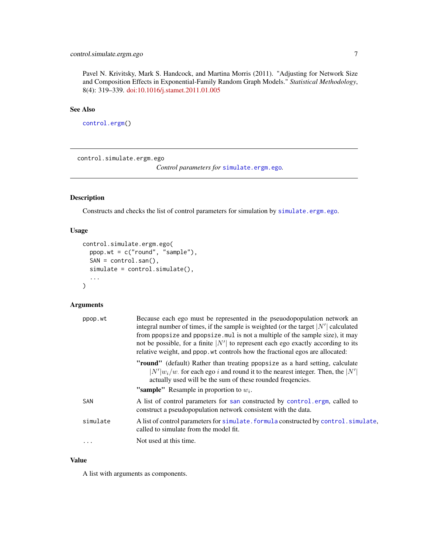# <span id="page-6-0"></span>control.simulate.ergm.ego 7

Pavel N. Krivitsky, Mark S. Handcock, and Martina Morris (2011). "Adjusting for Network Size and Composition Effects in Exponential-Family Random Graph Models." *Statistical Methodology*, 8(4): 319–339. [doi:10.1016/j.stamet.2011.01.005](https://doi.org/10.1016/j.stamet.2011.01.005)

# See Also

[control.ergm\(](#page-0-0))

<span id="page-6-1"></span>control.simulate.ergm.ego

*Control parameters for* [simulate.ergm.ego](#page-20-1)*.*

# Description

Constructs and checks the list of control parameters for simulation by [simulate.ergm.ego](#page-20-1).

#### Usage

```
control.simulate.ergm.ego(
  ppop.wt = c("round", "sample"),
  SAN = control.san(),
  simulate = control.simulate(),
  ...
)
```
# Arguments

| ppop.wt  | Because each ego must be represented in the pseudopopulation network an<br>integral number of times, if the sample is weighted (or the target $ N' $ calculated<br>from ppopsize and ppopsize. mul is not a multiple of the sample size), it may<br>not be possible, for a finite $ N' $ to represent each ego exactly according to its<br>relative weight, and ppop. wt controls how the fractional egos are allocated: |
|----------|--------------------------------------------------------------------------------------------------------------------------------------------------------------------------------------------------------------------------------------------------------------------------------------------------------------------------------------------------------------------------------------------------------------------------|
|          | "round" (default) Rather than treating ppopsize as a hard setting, calculate<br>$ N' w_i/w$ for each ego i and round it to the nearest integer. Then, the $ N' $<br>actually used will be the sum of these rounded frequencies.                                                                                                                                                                                          |
|          | <b>"sample"</b> Resample in proportion to $w_i$ .                                                                                                                                                                                                                                                                                                                                                                        |
| SAN      | A list of control parameters for san constructed by control.ergm, called to<br>construct a pseudopopulation network consistent with the data.                                                                                                                                                                                                                                                                            |
| simulate | A list of control parameters for simulate. formula constructed by control. simulate,<br>called to simulate from the model fit.                                                                                                                                                                                                                                                                                           |
| $\cdots$ | Not used at this time.                                                                                                                                                                                                                                                                                                                                                                                                   |

# Value

A list with arguments as components.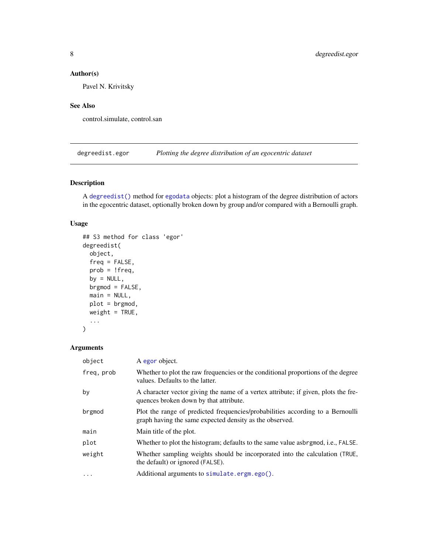# <span id="page-7-0"></span>Author(s)

Pavel N. Krivitsky

# See Also

control.simulate, control.san

degreedist.egor *Plotting the degree distribution of an egocentric dataset*

# <span id="page-7-1"></span>Description

A [degreedist\(\)](#page-7-1) method for [egodata](#page-2-1) objects: plot a histogram of the degree distribution of actors in the egocentric dataset, optionally broken down by group and/or compared with a Bernoulli graph.

# Usage

```
## S3 method for class 'egor'
degreedist(
 object,
  freq = FALSE,
 prob = !freq,
 by = NULL,
 brgmod = FALSE,
 main = NULL,plot = brgmod,
 weight = TRUE,...
)
```
#### Arguments

| object     | A egor object.                                                                                                                            |
|------------|-------------------------------------------------------------------------------------------------------------------------------------------|
| freq, prob | Whether to plot the raw frequencies or the conditional proportions of the degree<br>values. Defaults to the latter.                       |
| by         | A character vector giving the name of a vertex attribute; if given, plots the fre-<br>quences broken down by that attribute.              |
| brgmod     | Plot the range of predicted frequencies/probabilities according to a Bernoulli<br>graph having the same expected density as the observed. |
| main       | Main title of the plot.                                                                                                                   |
| plot       | Whether to plot the histogram; defaults to the same value asbrgmod, i.e., FALSE.                                                          |
| weight     | Whether sampling weights should be incorporated into the calculation (TRUE,<br>the default) or ignored (FALSE).                           |
| $\cdot$    | Additional arguments to simulate.ergm.ego().                                                                                              |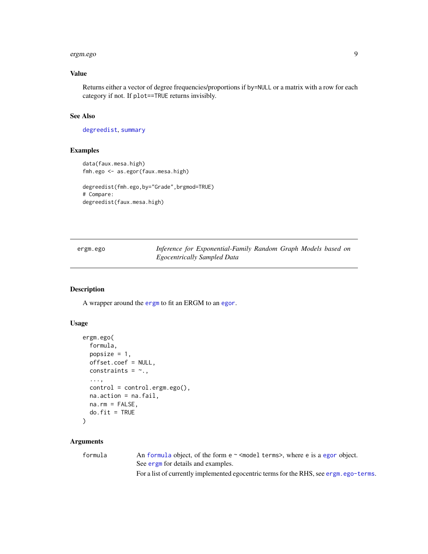#### <span id="page-8-0"></span>ergm.ego 9

# Value

Returns either a vector of degree frequencies/proportions if by=NULL or a matrix with a row for each category if not. If plot==TRUE returns invisibly.

#### See Also

[degreedist](#page-7-1), [summary](#page-22-1)

## Examples

```
data(faux.mesa.high)
fmh.ego <- as.egor(faux.mesa.high)
```

```
degreedist(fmh.ego,by="Grade",brgmod=TRUE)
# Compare:
degreedist(faux.mesa.high)
```
<span id="page-8-1"></span>ergm.ego *Inference for Exponential-Family Random Graph Models based on Egocentrically Sampled Data*

# Description

A wrapper around the [ergm](#page-0-0) to fit an ERGM to an [egor](#page-0-0).

# Usage

```
ergm.ego(
  formula,
 popsize = 1,
 offset.coef = NULL,
 constraints = \sim.,
  ...,
  control = control.ergm.ego(),
 na.action = na.fail,
 na.rm = FALSE,
 do.fit = TRUE)
```
#### Arguments

formula An [formula](#page-0-0) object, of the form e ~ <model terms>, where e is a [egor](#page-0-0) object. See [ergm](#page-0-0) for details and examples.

For a list of currently implemented egocentric terms for the RHS, see [ergm.ego-terms](#page-10-1).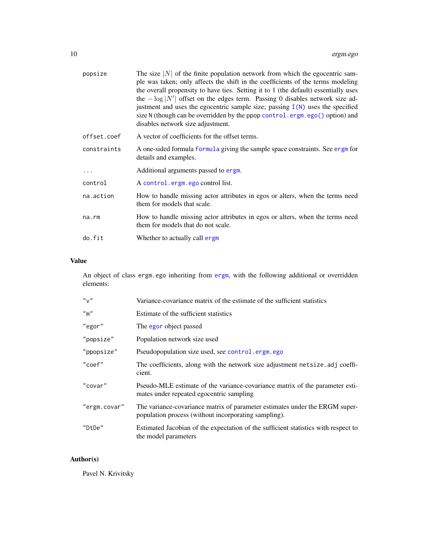<span id="page-9-0"></span>

| popsize     | The size $ N $ of the finite population network from which the egocentric sam-<br>ple was taken; only affects the shift in the coefficients of the terms modeling<br>the overall propensity to have ties. Setting it to 1 (the default) essentially uses<br>the $-\log N' $ offset on the edges term. Passing 0 disables network size ad-<br>justment and uses the egocentric sample size; passing $I(N)$ uses the specified<br>size N (though can be overridden by the ppop control.ergm.ego() option) and<br>disables network size adjustment. |
|-------------|--------------------------------------------------------------------------------------------------------------------------------------------------------------------------------------------------------------------------------------------------------------------------------------------------------------------------------------------------------------------------------------------------------------------------------------------------------------------------------------------------------------------------------------------------|
| offset.coef | A vector of coefficients for the offset terms.                                                                                                                                                                                                                                                                                                                                                                                                                                                                                                   |
| constraints | A one-sided formula formula giving the sample space constraints. See ergm for<br>details and examples.                                                                                                                                                                                                                                                                                                                                                                                                                                           |
| .           | Additional arguments passed to ergm.                                                                                                                                                                                                                                                                                                                                                                                                                                                                                                             |
| control     | A control.ergm.ego control list.                                                                                                                                                                                                                                                                                                                                                                                                                                                                                                                 |
| na.action   | How to handle missing actor attributes in egos or alters, when the terms need<br>them for models that scale.                                                                                                                                                                                                                                                                                                                                                                                                                                     |
| na.rm       | How to handle missing actor attributes in egos or alters, when the terms need<br>them for models that do not scale.                                                                                                                                                                                                                                                                                                                                                                                                                              |
| do.fit      | Whether to actually call ergm                                                                                                                                                                                                                                                                                                                                                                                                                                                                                                                    |

# Value

An object of class ergm.ego inheriting from [ergm](#page-0-0), with the following additional or overridden elements:

| "v"          | Variance-covariance matrix of the estimate of the sufficient statistics                                                             |
|--------------|-------------------------------------------------------------------------------------------------------------------------------------|
| $"$ m $"$    | Estimate of the sufficient statistics                                                                                               |
| "egor"       | The egor object passed                                                                                                              |
| "popsize"    | Population network size used                                                                                                        |
| "ppopsize"   | Pseudopopulation size used, see control.ergm.ego                                                                                    |
| "coef"       | The coefficients, along with the network size adjustment net size adj coeffi-<br>cient.                                             |
| "covar"      | Pseudo-MLE estimate of the variance-covariance matrix of the parameter esti-<br>mates under repeated egocentric sampling            |
| "ergm.covar" | The variance-covariance matrix of parameter estimates under the ERGM super-<br>population process (without incorporating sampling). |
| "DtDe"       | Estimated Jacobian of the expectation of the sufficient statistics with respect to<br>the model parameters                          |

# Author(s)

Pavel N. Krivitsky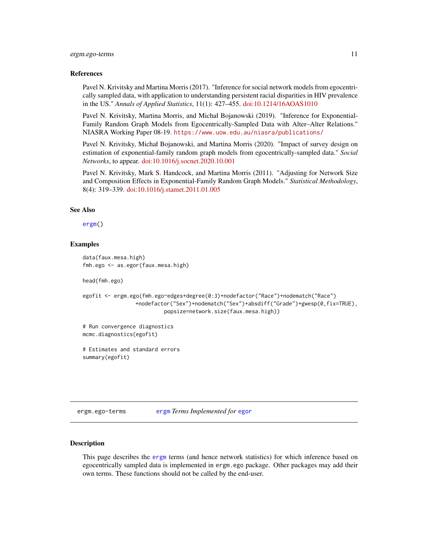#### <span id="page-10-0"></span>ergm.ego-terms 11

#### References

Pavel N. Krivitsky and Martina Morris (2017). "Inference for social network models from egocentrically sampled data, with application to understanding persistent racial disparities in HIV prevalence in the US." *Annals of Applied Statistics*, 11(1): 427–455. [doi:10.1214/16AOAS1010](https://doi.org/10.1214/16-AOAS1010)

Pavel N. Krivitsky, Martina Morris, and Michał Bojanowski (2019). "Inference for Exponential-Family Random Graph Models from Egocentrically-Sampled Data with Alter–Alter Relations." NIASRA Working Paper 08-19. <https://www.uow.edu.au/niasra/publications/>

Pavel N. Krivitsky, Michał Bojanowski, and Martina Morris (2020). "Impact of survey design on estimation of exponential-family random graph models from egocentrically-sampled data." *Social Networks*, to appear. [doi:10.1016/j.socnet.2020.10.001](https://doi.org/10.1016/j.socnet.2020.10.001)

Pavel N. Krivitsky, Mark S. Handcock, and Martina Morris (2011). "Adjusting for Network Size and Composition Effects in Exponential-Family Random Graph Models." *Statistical Methodology*, 8(4): 319–339. [doi:10.1016/j.stamet.2011.01.005](https://doi.org/10.1016/j.stamet.2011.01.005)

#### See Also

[ergm\(](#page-0-0))

### Examples

```
data(faux.mesa.high)
fmh.ego <- as.egor(faux.mesa.high)
```
head(fmh.ego)

```
egofit <- ergm.ego(fmh.ego~edges+degree(0:3)+nodefactor("Race")+nodematch("Race")
                +nodefactor("Sex")+nodematch("Sex")+absdiff("Grade")+gwesp(0,fix=TRUE),
                          popsize=network.size(faux.mesa.high))
```

```
# Run convergence diagnostics
mcmc.diagnostics(egofit)
```
# Estimates and standard errors summary(egofit)

<span id="page-10-1"></span>ergm.ego-terms [ergm](#page-0-0) *Terms Implemented for* [egor](#page-0-0)

#### <span id="page-10-2"></span>Description

This page describes the [ergm](#page-0-0) terms (and hence network statistics) for which inference based on egocentrically sampled data is implemented in ergm.ego package. Other packages may add their own terms. These functions should not be called by the end-user.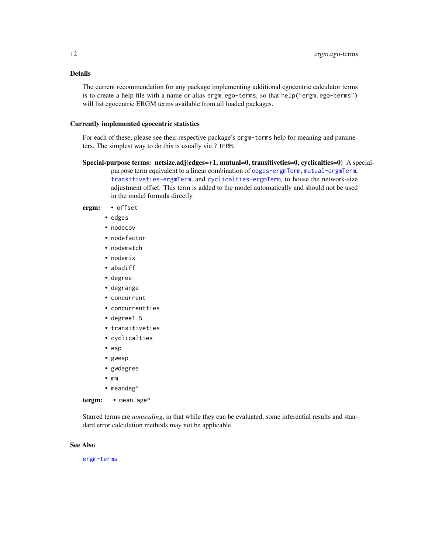# Details

The current recommendation for any package implementing additional egocentric calculator terms is to create a help file with a name or alias ergm.ego-terms, so that help("ergm.ego-terms") will list egocentric ERGM terms available from all loaded packages.

#### Currently implemented egocentric statistics

For each of these, please see their respective package's ergm-terms help for meaning and parameters. The simplest way to do this is usually via ? TERM.

Special-purpose terms: netsize.adj(edges=+1, mutual=0, transitiveties=0, cyclicalties=0) A special-

purpose term equivalent to a linear combination of [edges-ergmTerm](#page-0-0), [mutual-ergmTerm](#page-0-0), [transitiveties-ergmTerm](#page-0-0), and [cyclicalties-ergmTerm](#page-0-0), to house the network-size adjustment offset. This term is added to the model automatically and should not be used in the model formula directly.

# ergm: • offset

- edges
- nodecov
- nodefactor
- nodematch
- nodemix
- absdiff
- degree
- degrange
- concurrent
- concurrentties
- degree1.5
- transitiveties
- cyclicalties
- esp
- gwesp
- gwdegree
- mm
- meandeg\*

tergm: • mean.age\*

Starred terms are *nonscaling*, in that while they can be evaluated, some inferential results and standard error calculation methods may not be applicable.

#### See Also

[ergm-terms](#page-10-2)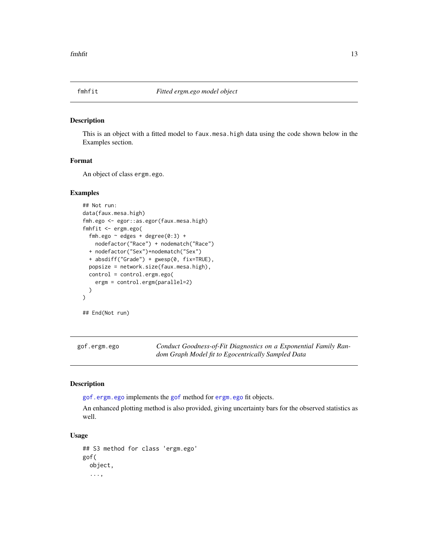<span id="page-12-0"></span>

#### Description

This is an object with a fitted model to faux.mesa.high data using the code shown below in the Examples section.

# Format

An object of class ergm.ego.

#### Examples

```
## Not run:
data(faux.mesa.high)
fmh.ego <- egor::as.egor(faux.mesa.high)
fmhfit <- ergm.ego(
  fmh.ego \sim edges + degree(0:3) +
    nodefactor("Race") + nodematch("Race")
  + nodefactor("Sex")+nodematch("Sex")
  + absdiff("Grade") + gwesp(0, fix=TRUE),
  popsize = network.size(faux.mesa.high),
  control = control.ergm.ego(
    ergm = control.ergm(parallel=2)
  \lambda\mathcal{L}## End(Not run)
```
<span id="page-12-1"></span>gof.ergm.ego *Conduct Goodness-of-Fit Diagnostics on a Exponential Family Random Graph Model fit to Egocentrically Sampled Data*

#### <span id="page-12-2"></span>Description

[gof.ergm.ego](#page-12-1) implements the [gof](#page-0-0) method for [ergm.ego](#page-8-1) fit objects.

An enhanced plotting method is also provided, giving uncertainty bars for the observed statistics as well.

#### Usage

## S3 method for class 'ergm.ego' gof( object, ...,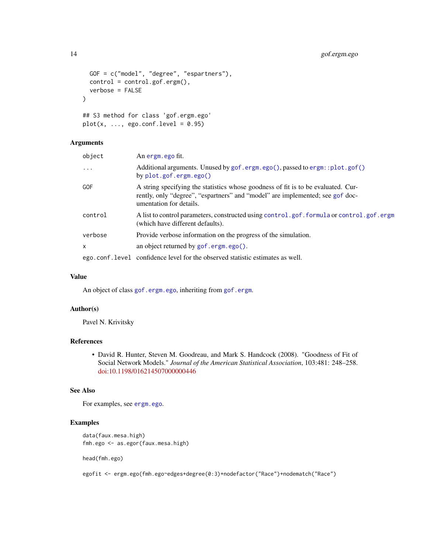```
GOF = c("model", "degree", "espartners"),
  control = control.get.ergm(),verbose = FALSE
\lambda## S3 method for class 'gof.ergm.ego'
```

```
plot(x, ..., ego.config.length = 0.95)
```
# Arguments

| object     | An ergm. ego fit.                                                                                                                                                                             |
|------------|-----------------------------------------------------------------------------------------------------------------------------------------------------------------------------------------------|
| $\ddots$   | Additional arguments. Unused by gof.ergm.ego(), passed to ergm::plot.gof()<br>by $plot.gof.crgm.ego()$                                                                                        |
| <b>GOF</b> | A string specifying the statistics whose goodness of fit is to be evaluated. Cur-<br>rently, only "degree", "espartners" and "model" are implemented; see gof doc-<br>umentation for details. |
| control    | A list to control parameters, constructed using control.gof.formula or control.gof.ergm<br>(which have different defaults).                                                                   |
| verbose    | Provide verbose information on the progress of the simulation.                                                                                                                                |
| X          | an object returned by $gof.ergm.ego()$ .                                                                                                                                                      |
|            | ego.conf.level confidence level for the observed statistic estimates as well.                                                                                                                 |

#### Value

An object of class [gof.ergm.ego](#page-12-1), inheriting from [gof.ergm](#page-0-0).

# Author(s)

Pavel N. Krivitsky

#### References

• David R. Hunter, Steven M. Goodreau, and Mark S. Handcock (2008). "Goodness of Fit of Social Network Models." *Journal of the American Statistical Association*, 103:481: 248–258. [doi:10.1198/016214507000000446](https://doi.org/10.1198/016214507000000446)

# See Also

For examples, see [ergm.ego](#page-8-1).

#### Examples

```
data(faux.mesa.high)
fmh.ego <- as.egor(faux.mesa.high)
```
head(fmh.ego)

egofit <- ergm.ego(fmh.ego~edges+degree(0:3)+nodefactor("Race")+nodematch("Race")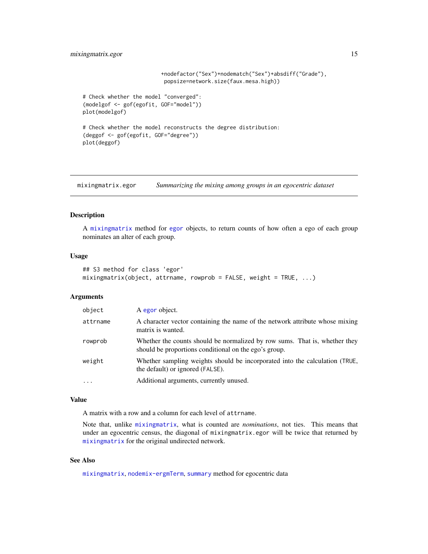# <span id="page-14-0"></span>mixing matrix.egor 15

```
+nodefactor("Sex")+nodematch("Sex")+absdiff("Grade"),
                          popsize=network.size(faux.mesa.high))
# Check whether the model "converged":
(modelgof <- gof(egofit, GOF="model"))
plot(modelgof)
# Check whether the model reconstructs the degree distribution:
(deggof <- gof(egofit, GOF="degree"))
plot(deggof)
```
mixingmatrix.egor *Summarizing the mixing among groups in an egocentric dataset*

# <span id="page-14-1"></span>Description

A [mixingmatrix](#page-14-1) method for [egor](#page-0-0) objects, to return counts of how often a ego of each group nominates an alter of each group.

#### Usage

```
## S3 method for class 'egor'
mixing matrix(object, attrname, rowprob = FALSE, weight = TRUE, ...)
```
#### Arguments

| object   | A egor object.                                                                                                                      |
|----------|-------------------------------------------------------------------------------------------------------------------------------------|
| attrname | A character vector containing the name of the network attribute whose mixing<br>matrix is wanted.                                   |
| rowprob  | Whether the counts should be normalized by row sums. That is, whether they<br>should be proportions conditional on the ego's group. |
| weight   | Whether sampling weights should be incorporated into the calculation (TRUE,<br>the default) or ignored (FALSE).                     |
| $\cdots$ | Additional arguments, currently unused.                                                                                             |

#### Value

A matrix with a row and a column for each level of attrname.

Note that, unlike [mixingmatrix](#page-14-1), what is counted are *nominations*, not ties. This means that under an egocentric census, the diagonal of mixingmatrix.egor will be twice that returned by [mixingmatrix](#page-14-1) for the original undirected network.

# See Also

[mixingmatrix](#page-14-1), [nodemix-ergmTerm](#page-0-0), [summary](#page-22-1) method for egocentric data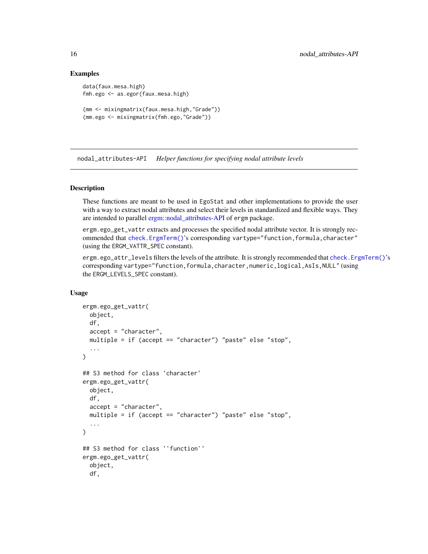#### Examples

```
data(faux.mesa.high)
fmh.ego <- as.egor(faux.mesa.high)
(mm <- mixingmatrix(faux.mesa.high,"Grade"))
(mm.ego <- mixingmatrix(fmh.ego,"Grade"))
```
nodal\_attributes-API *Helper functions for specifying nodal attribute levels*

# Description

These functions are meant to be used in EgoStat and other implementations to provide the user with a way to extract nodal attributes and select their levels in standardized and flexible ways. They are intended to parallel [ergm::nodal\\_attributes-API](#page-0-0) of ergm package.

ergm.ego\_get\_vattr extracts and processes the specified nodal attribute vector. It is strongly recommended that [check.ErgmTerm\(\)](#page-0-0)'s corresponding vartype="function,formula,character" (using the ERGM\_VATTR\_SPEC constant).

ergm.ego\_attr\_levels filters the levels of the attribute. It is strongly recommended that check. ErgmTerm()'s corresponding vartype="function,formula,character,numeric,logical,AsIs,NULL" (using the ERGM\_LEVELS\_SPEC constant).

#### Usage

```
ergm.ego_get_vattr(
  object,
  df,
  accept = "character",
 multiple = if (accept == "character") "paste" else "stop",
  ...
\mathcal{L}## S3 method for class 'character'
ergm.ego_get_vattr(
 object,
  df,
  accept = "character",
 multiple = if (accept == "character") "paste" else "stop",
  ...
\mathcal{L}## S3 method for class '`function`'
ergm.ego_get_vattr(
  object,
  df,
```
<span id="page-15-0"></span>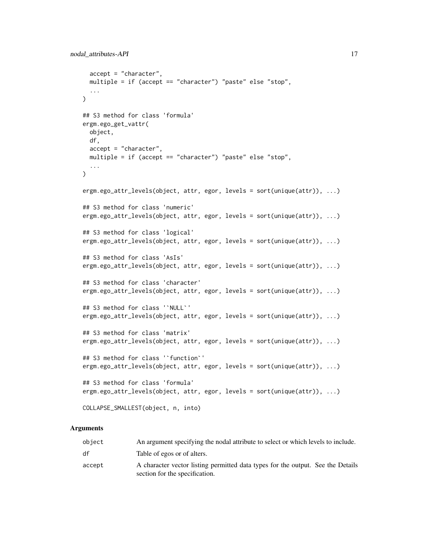```
accept = "character",
 multiple = if (accept == "character") "paste" else "stop",
  ...
\lambda## S3 method for class 'formula'
ergm.ego_get_vattr(
 object,
 df,
 accept = "character",
 multiple = if (accept == "character") "paste" else "stop",
  ...
)
ergm.ego_attr_levels(object, attr, egor, levels = sort(unique(attr)), ...)
## S3 method for class 'numeric'
ergm.ego_attr_levels(object, attr, egor, levels = sort(unique(attr)), ...)
## S3 method for class 'logical'
ergm.ego_attr_levels(object, attr, egor, levels = sort(unique(attr)), ...)
## S3 method for class 'AsIs'
ergm.ego_attr_levels(object, attr, egor, levels = sort(unique(attr)), ...)
## S3 method for class 'character'
ergm.ego_attr_levels(object, attr, egor, levels = sort(unique(attr)), ...)
## S3 method for class '`NULL`'
ergm.ego_attr_levels(object, attr, egor, levels = sort(unique(attr)), ...)
## S3 method for class 'matrix'
ergm.ego_attr_levels(object, attr, egor, levels = sort(unique(attr)), ...)
## S3 method for class '`function`'
ergm.ego_attr_levels(object, attr, egor, levels = sort(unique(attr)), ...)
## S3 method for class 'formula'
ergm.ego_attr_levels(object, attr, egor, levels = sort(unique(attr)), ...)
COLLAPSE_SMALLEST(object, n, into)
```
#### Arguments

| object | An argument specifying the nodal attribute to select or which levels to include.                                  |
|--------|-------------------------------------------------------------------------------------------------------------------|
| df     | Table of egos or of alters.                                                                                       |
| accept | A character vector listing permitted data types for the output. See the Details<br>section for the specification. |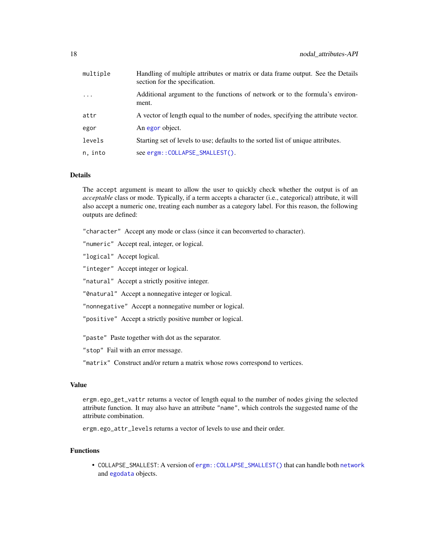<span id="page-17-0"></span>

| multiple | Handling of multiple attributes or matrix or data frame output. See the Details<br>section for the specification. |
|----------|-------------------------------------------------------------------------------------------------------------------|
| $\cdots$ | Additional argument to the functions of network or to the formula's environ-<br>ment.                             |
| attr     | A vector of length equal to the number of nodes, specifying the attribute vector.                                 |
| egor     | An egor object.                                                                                                   |
| levels   | Starting set of levels to use; defaults to the sorted list of unique attributes.                                  |
| n, into  | see ergm::COLLAPSE_SMALLEST().                                                                                    |

#### Details

The accept argument is meant to allow the user to quickly check whether the output is of an *acceptable* class or mode. Typically, if a term accepts a character (i.e., categorical) attribute, it will also accept a numeric one, treating each number as a category label. For this reason, the following outputs are defined:

"character" Accept any mode or class (since it can beconverted to character).

"numeric" Accept real, integer, or logical.

"logical" Accept logical.

"integer" Accept integer or logical.

"natural" Accept a strictly positive integer.

"0natural" Accept a nonnegative integer or logical.

"nonnegative" Accept a nonnegative number or logical.

"positive" Accept a strictly positive number or logical.

"paste" Paste together with dot as the separator.

"stop" Fail with an error message.

"matrix" Construct and/or return a matrix whose rows correspond to vertices.

# Value

ergm.ego\_get\_vattr returns a vector of length equal to the number of nodes giving the selected attribute function. It may also have an attribute "name", which controls the suggested name of the attribute combination.

ergm.ego\_attr\_levels returns a vector of levels to use and their order.

# Functions

• COLLAPSE\_SMALLEST: A version of [ergm::COLLAPSE\\_SMALLEST\(\)](#page-0-0) that can handle both [network](#page-0-0) and [egodata](#page-2-1) objects.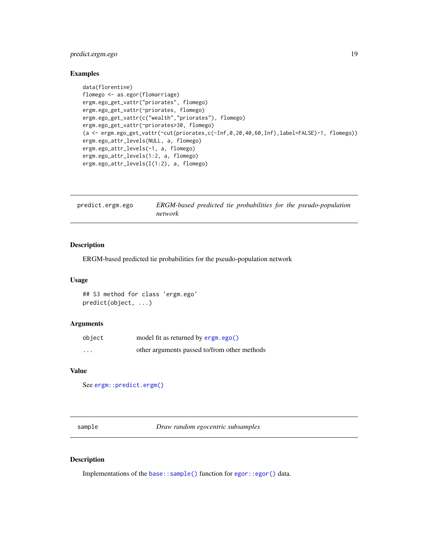# <span id="page-18-0"></span>predict.ergm.ego 19

# Examples

```
data(florentine)
flomego <- as.egor(flomarriage)
ergm.ego_get_vattr("priorates", flomego)
ergm.ego_get_vattr(~priorates, flomego)
ergm.ego_get_vattr(c("wealth","priorates"), flomego)
ergm.ego_get_vattr(~priorates>30, flomego)
(a <- ergm.ego_get_vattr(~cut(priorates,c(-Inf,0,20,40,60,Inf),label=FALSE)-1, flomego))
ergm.ego_attr_levels(NULL, a, flomego)
ergm.ego_attr_levels(-1, a, flomego)
ergm.ego_attr_levels(1:2, a, flomego)
ergm.ego_attr_levels(I(1:2), a, flomego)
```

| predict.ergm.ego | ERGM-based predicted tie probabilities for the pseudo-population |
|------------------|------------------------------------------------------------------|
|                  | network                                                          |

# Description

ERGM-based predicted tie probabilities for the pseudo-population network

#### Usage

```
## S3 method for class 'ergm.ego'
predict(object, ...)
```
# Arguments

| object                  | model fit as returned by ergm.ego()          |
|-------------------------|----------------------------------------------|
| $\cdot$ $\cdot$ $\cdot$ | other arguments passed to/from other methods |

#### Value

```
See ergm::predict.ergm()
```
sample *Draw random egocentric subsamples*

#### Description

Implementations of the [base::sample\(\)](#page-0-0) function for [egor::egor\(\)](#page-0-0) data.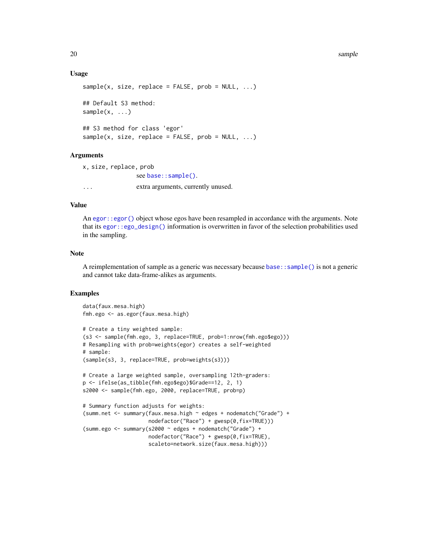#### 20 sample

#### Usage

```
sample(x, size, replace = FALSE, prob = NULL, ...)## Default S3 method:
sample(x, \ldots)## S3 method for class 'egor'
sample(x, size, replace = FALSE, prob = NULL, ...)
```
# Arguments

```
x, size, replace, prob
               see base::sample().
... extra arguments, currently unused.
```
# Value

An egor:: egor() object whose egos have been resampled in accordance with the arguments. Note that its [egor::ego\\_design\(\)](#page-0-0) information is overwritten in favor of the selection probabilities used in the sampling.

# **Note**

A reimplementation of sample as a generic was necessary because [base::sample\(\)](#page-0-0) is not a generic and cannot take data-frame-alikes as arguments.

#### Examples

```
data(faux.mesa.high)
fmh.ego <- as.egor(faux.mesa.high)
```

```
# Create a tiny weighted sample:
(s3 <- sample(fmh.ego, 3, replace=TRUE, prob=1:nrow(fmh.ego$ego)))
# Resampling with prob=weights(egor) creates a self-weighted
# sample:
(sample(s3, 3, replace=TRUE, prob=weights(s3)))
# Create a large weighted sample, oversampling 12th-graders:
p <- ifelse(as_tibble(fmh.ego$ego)$Grade==12, 2, 1)
s2000 <- sample(fmh.ego, 2000, replace=TRUE, prob=p)
# Summary function adjusts for weights:
(summ.net <- summary(faux.mesa.high ~ edges + nodematch("Grade") +
                     nodefactor("Race") + gwesp(0,fix=TRUE)))
(summ.ego <- summary(s2000 ~ edges + nodematch("Grade") +
                    nodefactor("Race") + gwesp(0,fix=TRUE),
                     scaleto=network.size(faux.mesa.high)))
```
<span id="page-19-0"></span>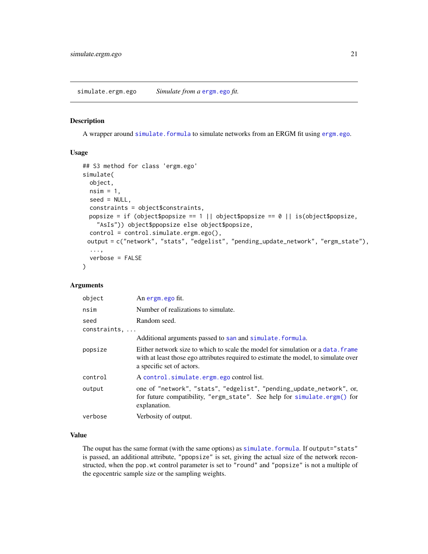#### <span id="page-20-1"></span><span id="page-20-0"></span>Description

A wrapper around [simulate.formula](#page-0-0) to simulate networks from an ERGM fit using [ergm.ego](#page-8-1).

#### Usage

```
## S3 method for class 'ergm.ego'
simulate(
 object,
 nsim = 1,
  seed = NULL,
 constraints = object$constraints,
 popsize = if (object$popsize == 1 || object$popsize == 0 || is(object$popsize,
    "AsIs")) object$ppopsize else object$popsize,
  control = control.simulate.ergm.ego(),
 output = c("network", "stats", "edgelist", "pending_update_network", "ergm_state"),
  ...,
  verbose = FALSE
)
```
#### Arguments

| object               | An ergm. ego fit.                                                                                                                                                                                   |
|----------------------|-----------------------------------------------------------------------------------------------------------------------------------------------------------------------------------------------------|
| nsim                 | Number of realizations to simulate.                                                                                                                                                                 |
| seed<br>constraints, | Random seed.                                                                                                                                                                                        |
|                      | Additional arguments passed to san and simulate. formula.                                                                                                                                           |
| popsize              | Either network size to which to scale the model for simulation or a data, frame<br>with at least those ego attributes required to estimate the model, to simulate over<br>a specific set of actors. |
| control              | A control.simulate.ergm.ego control list.                                                                                                                                                           |
| output               | one of "network", "stats", "edgelist", "pending_update_network", or,<br>for future compatibility, "ergm_state". See help for simulate.ergm() for<br>explanation.                                    |
| verbose              | Verbosity of output.                                                                                                                                                                                |

### Value

The ouput has the same format (with the same options) as [simulate.formula](#page-0-0). If output="stats" is passed, an additional attribute, "ppopsize" is set, giving the actual size of the network reconstructed, when the pop.wt control parameter is set to "round" and "popsize" is not a multiple of the egocentric sample size or the sampling weights.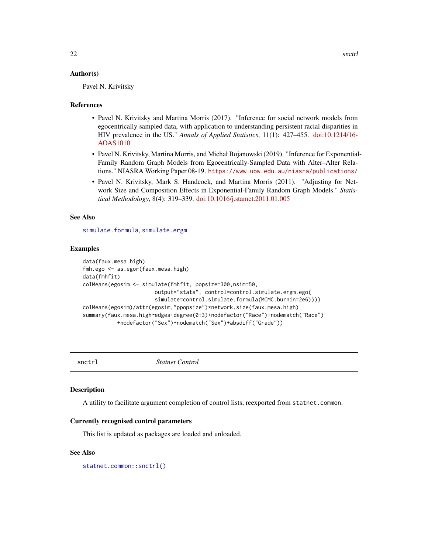#### <span id="page-21-0"></span>Author(s)

Pavel N. Krivitsky

#### References

- Pavel N. Krivitsky and Martina Morris (2017). "Inference for social network models from egocentrically sampled data, with application to understanding persistent racial disparities in HIV prevalence in the US." *Annals of Applied Statistics*, 11(1): 427–455. [doi:10.1214/16-](https://doi.org/10.1214/16-AOAS1010) [AOAS1010](https://doi.org/10.1214/16-AOAS1010)
- Pavel N. Krivitsky, Martina Morris, and Michał Bojanowski (2019). "Inference for Exponential-Family Random Graph Models from Egocentrically-Sampled Data with Alter–Alter Relations." NIASRA Working Paper 08-19. <https://www.uow.edu.au/niasra/publications/>
- Pavel N. Krivitsky, Mark S. Handcock, and Martina Morris (2011). "Adjusting for Network Size and Composition Effects in Exponential-Family Random Graph Models." *Statistical Methodology*, 8(4): 319–339. [doi:10.1016/j.stamet.2011.01.005](https://doi.org/10.1016/j.stamet.2011.01.005)

#### See Also

[simulate.formula](#page-0-0), [simulate.ergm](#page-0-0)

#### Examples

```
data(faux.mesa.high)
fmh.ego <- as.egor(faux.mesa.high)
data(fmhfit)
colMeans(egosim <- simulate(fmhfit, popsize=300,nsim=50,
                       output="stats", control=control.simulate.ergm.ego(
                       simulate=control.simulate.formula(MCMC.burnin=2e6))))
colMeans(egosim)/attr(egosim,"ppopsize")*network.size(faux.mesa.high)
summary(faux.mesa.high~edges+degree(0:3)+nodefactor("Race")+nodematch("Race")
           +nodefactor("Sex")+nodematch("Sex")+absdiff("Grade"))
```
snctrl *Statnet Control*

#### **Description**

A utility to facilitate argument completion of control lists, reexported from statnet.common.

#### Currently recognised control parameters

This list is updated as packages are loaded and unloaded.

#### See Also

[statnet.common::snctrl\(\)](#page-0-0)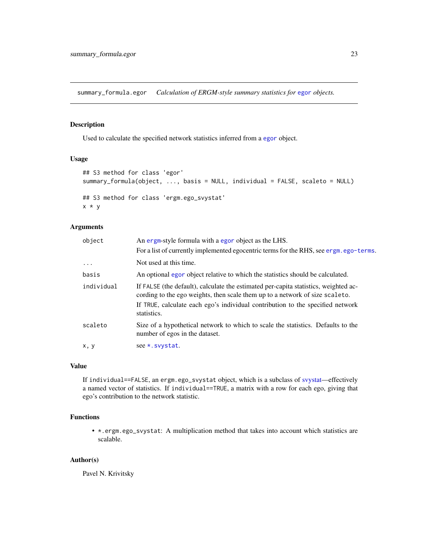<span id="page-22-0"></span>summary\_formula.egor *Calculation of ERGM-style summary statistics for* [egor](#page-0-0) *objects.*

#### <span id="page-22-1"></span>Description

Used to calculate the specified network statistics inferred from a [egor](#page-0-0) object.

#### Usage

```
## S3 method for class 'egor'
summary_formula(object, ..., basis = NULL, individual = FALSE, scaleto = NULL)
## S3 method for class 'ergm.ego_svystat'
x * y
```
# Arguments

| object     | An ergm-style formula with a egor object as the LHS.                                                                                                                |
|------------|---------------------------------------------------------------------------------------------------------------------------------------------------------------------|
|            | For a list of currently implemented egocentric terms for the RHS, see ergm. ego-terms.                                                                              |
| $\ddots$   | Not used at this time.                                                                                                                                              |
| basis      | An optional egor object relative to which the statistics should be calculated.                                                                                      |
| individual | If FALSE (the default), calculate the estimated per-capita statistics, weighted ac-<br>cording to the ego weights, then scale them up to a network of size scaleto. |
|            | If TRUE, calculate each ego's individual contribution to the specified network<br>statistics.                                                                       |
| scaleto    | Size of a hypothetical network to which to scale the statistics. Defaults to the<br>number of egos in the dataset.                                                  |
| x, y       | see *. svystat.                                                                                                                                                     |

#### Value

If individual==FALSE, an ergm.ego\_svystat object, which is a subclass of [svystat—](#page-0-0)effectively a named vector of statistics. If individual==TRUE, a matrix with a row for each ego, giving that ego's contribution to the network statistic.

# Functions

• \*.ergm.ego\_svystat: A multiplication method that takes into account which statistics are scalable.

#### Author(s)

Pavel N. Krivitsky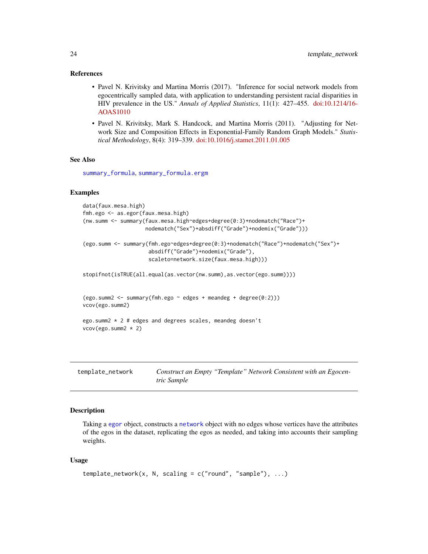#### <span id="page-23-0"></span>References

- Pavel N. Krivitsky and Martina Morris (2017). "Inference for social network models from egocentrically sampled data, with application to understanding persistent racial disparities in HIV prevalence in the US." *Annals of Applied Statistics*, 11(1): 427–455. [doi:10.1214/16-](https://doi.org/10.1214/16-AOAS1010) [AOAS1010](https://doi.org/10.1214/16-AOAS1010)
- Pavel N. Krivitsky, Mark S. Handcock, and Martina Morris (2011). "Adjusting for Network Size and Composition Effects in Exponential-Family Random Graph Models." *Statistical Methodology*, 8(4): 319–339. [doi:10.1016/j.stamet.2011.01.005](https://doi.org/10.1016/j.stamet.2011.01.005)

#### See Also

[summary\\_formula](#page-22-1), [summary\\_formula.ergm](#page-0-0)

#### Examples

```
data(faux.mesa.high)
fmh.ego <- as.egor(faux.mesa.high)
(nw.summ <- summary(faux.mesa.high~edges+degree(0:3)+nodematch("Race")+
                    nodematch("Sex")+absdiff("Grade")+nodemix("Grade")))
(ego.summ <- summary(fmh.ego~edges+degree(0:3)+nodematch("Race")+nodematch("Sex")+
                     absdiff("Grade")+nodemix("Grade"),
                     scaleto=network.size(faux.mesa.high)))
stopifnot(isTRUE(all.equal(as.vector(nw.summ),as.vector(ego.summ))))
(ego.summ2 < -summary(fmh.ego ~ edges + meandeg + degree(0:2)))vcov(ego.summ2)
ego.summ2 * 2 # edges and degrees scales, meandeg doesn't
vcov(ego.summ2 * 2)
```
<span id="page-23-1"></span>template\_network *Construct an Empty "Template" Network Consistent with an Egocentric Sample*

# Description

Taking a [egor](#page-0-0) object, constructs a [network](#page-0-0) object with no edges whose vertices have the attributes of the egos in the dataset, replicating the egos as needed, and taking into accounts their sampling weights.

#### Usage

```
template_{network(x, N, scaling = c("round", "sample"), ...})
```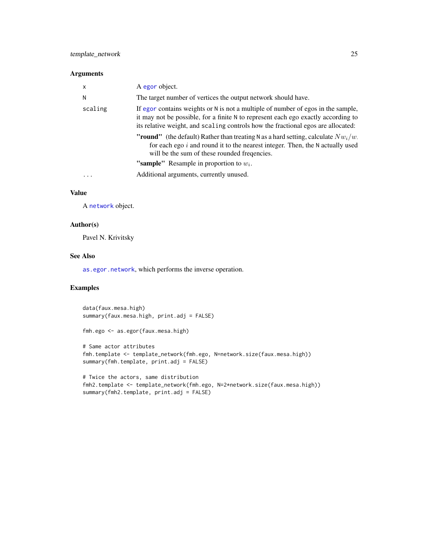#### <span id="page-24-0"></span>Arguments

| $\times$  | A egor object.                                                                                                                                                                                                                                            |
|-----------|-----------------------------------------------------------------------------------------------------------------------------------------------------------------------------------------------------------------------------------------------------------|
| N         | The target number of vertices the output network should have.                                                                                                                                                                                             |
| scaling   | If egor contains weights or N is not a multiple of number of egos in the sample,<br>it may not be possible, for a finite N to represent each ego exactly according to<br>its relative weight, and scaling controls how the fractional egos are allocated: |
|           | <b>"round"</b> (the default) Rather than treating N as a hard setting, calculate $Nw_i/w$ .<br>for each ego $i$ and round it to the nearest integer. Then, the N actually used<br>will be the sum of these rounded frequencies.                           |
|           | "sample" Resample in proportion to $w_i$ .                                                                                                                                                                                                                |
| $\ddotsc$ | Additional arguments, currently unused.                                                                                                                                                                                                                   |

# Value

A [network](#page-0-0) object.

# Author(s)

Pavel N. Krivitsky

# See Also

[as.egor.network](#page-3-1), which performs the inverse operation.

# Examples

```
data(faux.mesa.high)
summary(faux.mesa.high, print.adj = FALSE)
fmh.ego <- as.egor(faux.mesa.high)
# Same actor attributes
fmh.template <- template_network(fmh.ego, N=network.size(faux.mesa.high))
summary(fmh.template, print.adj = FALSE)
# Twice the actors, same distribution
fmh2.template <- template_network(fmh.ego, N=2*network.size(faux.mesa.high))
summary(fmh2.template, print.adj = FALSE)
```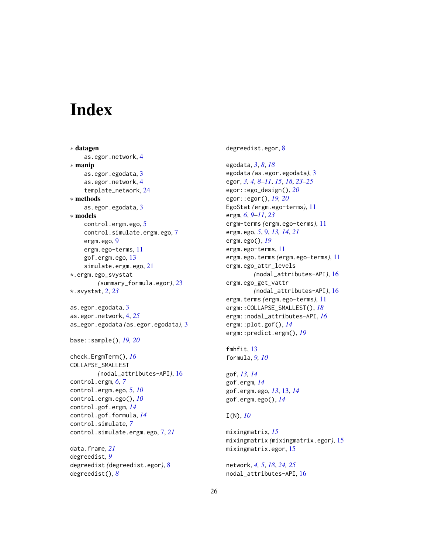# <span id="page-25-0"></span>**Index**

∗ datagen as.egor.network, [4](#page-3-0) ∗ manip as.egor.egodata, [3](#page-2-0) as.egor.network, [4](#page-3-0) template\_network, [24](#page-23-0) ∗ methods as.egor.egodata, [3](#page-2-0) ∗ models control.ergm.ego, [5](#page-4-0) control.simulate.ergm.ego, [7](#page-6-0) ergm.ego, [9](#page-8-0) ergm.ego-terms, [11](#page-10-0) gof.ergm.ego, [13](#page-12-0) simulate.ergm.ego, [21](#page-20-0) \*.ergm.ego\_svystat *(*summary\_formula.egor*)*, [23](#page-22-0) \*.svystat, [2,](#page-1-0) *[23](#page-22-0)* as.egor.egodata, [3](#page-2-0) as.egor.network, [4,](#page-3-0) *[25](#page-24-0)* as\_egor.egodata *(*as.egor.egodata*)*, [3](#page-2-0) base::sample(), *[19,](#page-18-0) [20](#page-19-0)* check.ErgmTerm(), *[16](#page-15-0)* COLLAPSE\_SMALLEST *(*nodal\_attributes-API*)*, [16](#page-15-0) control.ergm, *[6,](#page-5-0) [7](#page-6-0)* control.ergm.ego, [5,](#page-4-0) *[10](#page-9-0)* control.ergm.ego(), *[10](#page-9-0)* control.gof.ergm, *[14](#page-13-0)* control.gof.formula, *[14](#page-13-0)* control.simulate, *[7](#page-6-0)* control.simulate.ergm.ego, [7,](#page-6-0) *[21](#page-20-0)* data.frame, *[21](#page-20-0)* degreedist, *[9](#page-8-0)*

degreedist *(*degreedist.egor*)*, [8](#page-7-0) degreedist(), *[8](#page-7-0)*

degreedist.egor, [8](#page-7-0)

egodata, *[3](#page-2-0)*, *[8](#page-7-0)*, *[18](#page-17-0)* egodata *(*as.egor.egodata*)*, [3](#page-2-0) egor, *[3,](#page-2-0) [4](#page-3-0)*, *[8](#page-7-0)[–11](#page-10-0)*, *[15](#page-14-0)*, *[18](#page-17-0)*, *[23](#page-22-0)[–25](#page-24-0)* egor::ego\_design(), *[20](#page-19-0)* egor::egor(), *[19,](#page-18-0) [20](#page-19-0)* EgoStat *(*ergm.ego-terms*)*, [11](#page-10-0) ergm, *[6](#page-5-0)*, *[9](#page-8-0)[–11](#page-10-0)*, *[23](#page-22-0)* ergm-terms *(*ergm.ego-terms*)*, [11](#page-10-0) ergm.ego, *[5](#page-4-0)*, [9,](#page-8-0) *[13,](#page-12-0) [14](#page-13-0)*, *[21](#page-20-0)* ergm.ego(), *[19](#page-18-0)* ergm.ego-terms, [11](#page-10-0) ergm.ego.terms *(*ergm.ego-terms*)*, [11](#page-10-0) ergm.ego\_attr\_levels *(*nodal\_attributes-API*)*, [16](#page-15-0) ergm.ego\_get\_vattr *(*nodal\_attributes-API*)*, [16](#page-15-0) ergm.terms *(*ergm.ego-terms*)*, [11](#page-10-0) ergm::COLLAPSE\_SMALLEST(), *[18](#page-17-0)* ergm::nodal\_attributes-API, *[16](#page-15-0)* ergm::plot.gof(), *[14](#page-13-0)* ergm::predict.ergm(), *[19](#page-18-0)*

```
fmhfit, 13
formula, 9, 10
```
gof, *[13,](#page-12-0) [14](#page-13-0)* gof.ergm, *[14](#page-13-0)* gof.ergm.ego, *[13](#page-12-0)*, [13,](#page-12-0) *[14](#page-13-0)* gof.ergm.ego(), *[14](#page-13-0)*

# I(N), *[10](#page-9-0)*

```
mixingmatrix, 15
mixingmatrix (mixingmatrix.egor), 15
mixingmatrix.egor, 15
```
network, *[4,](#page-3-0) [5](#page-4-0)*, *[18](#page-17-0)*, *[24,](#page-23-0) [25](#page-24-0)* nodal\_attributes-API, [16](#page-15-0)